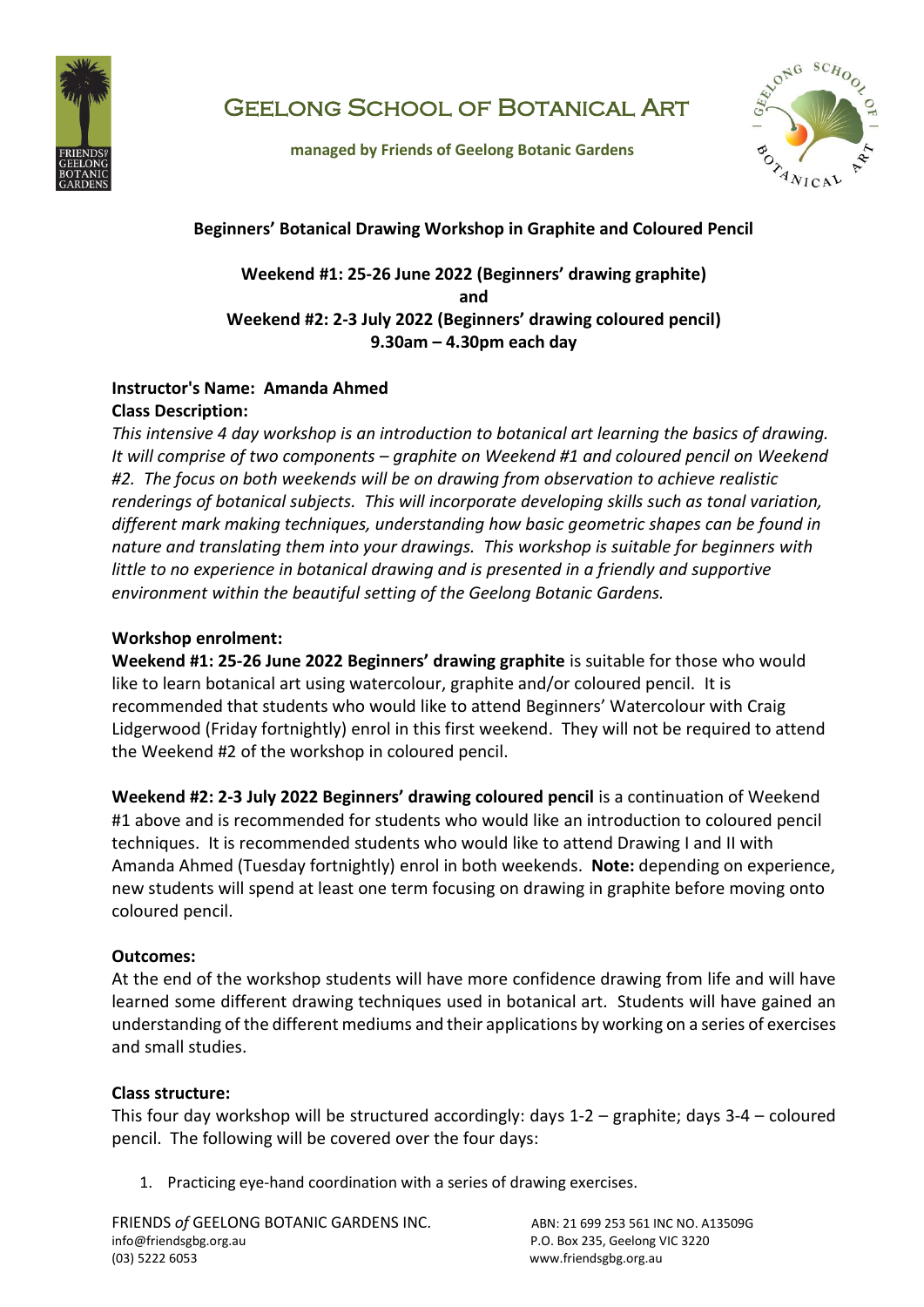

# Geelong School of Botanical Art

 **managed by Friends of Geelong Botanic Gardens**



## **Beginners' Botanical Drawing Workshop in Graphite and Coloured Pencil**

## **Weekend #1: 25-26 June 2022 (Beginners' drawing graphite) and Weekend #2: 2-3 July 2022 (Beginners' drawing coloured pencil) 9.30am – 4.30pm each day**

# **Instructor's Name: Amanda Ahmed Class Description:**

*This intensive 4 day workshop is an introduction to botanical art learning the basics of drawing. It will comprise of two components – graphite on Weekend #1 and coloured pencil on Weekend #2. The focus on both weekends will be on drawing from observation to achieve realistic renderings of botanical subjects. This will incorporate developing skills such as tonal variation, different mark making techniques, understanding how basic geometric shapes can be found in nature and translating them into your drawings. This workshop is suitable for beginners with little to no experience in botanical drawing and is presented in a friendly and supportive environment within the beautiful setting of the Geelong Botanic Gardens.* 

## **Workshop enrolment:**

**Weekend #1: 25-26 June 2022 Beginners' drawing graphite** is suitable for those who would like to learn botanical art using watercolour, graphite and/or coloured pencil. It is recommended that students who would like to attend Beginners' Watercolour with Craig Lidgerwood (Friday fortnightly) enrol in this first weekend. They will not be required to attend the Weekend #2 of the workshop in coloured pencil.

**Weekend #2: 2-3 July 2022 Beginners' drawing coloured pencil** is a continuation of Weekend #1 above and is recommended for students who would like an introduction to coloured pencil techniques. It is recommended students who would like to attend Drawing I and II with Amanda Ahmed (Tuesday fortnightly) enrol in both weekends. **Note:** depending on experience, new students will spend at least one term focusing on drawing in graphite before moving onto coloured pencil.

# **Outcomes:**

At the end of the workshop students will have more confidence drawing from life and will have learned some different drawing techniques used in botanical art. Students will have gained an understanding of the different mediums and their applications by working on a series of exercises and small studies.

### **Class structure:**

This four day workshop will be structured accordingly: days 1-2 – graphite; days 3-4 – coloured pencil. The following will be covered over the four days:

1. Practicing eye-hand coordination with a series of drawing exercises.

FRIENDS of GEELONG BOTANIC GARDENS INC. ABN: 21 699 253 561 INC NO. A13509G info@friendsgbg.org.au P.O. Box 235, Geelong VIC 3220 (03) 5222 6053 www.friendsgbg.org.au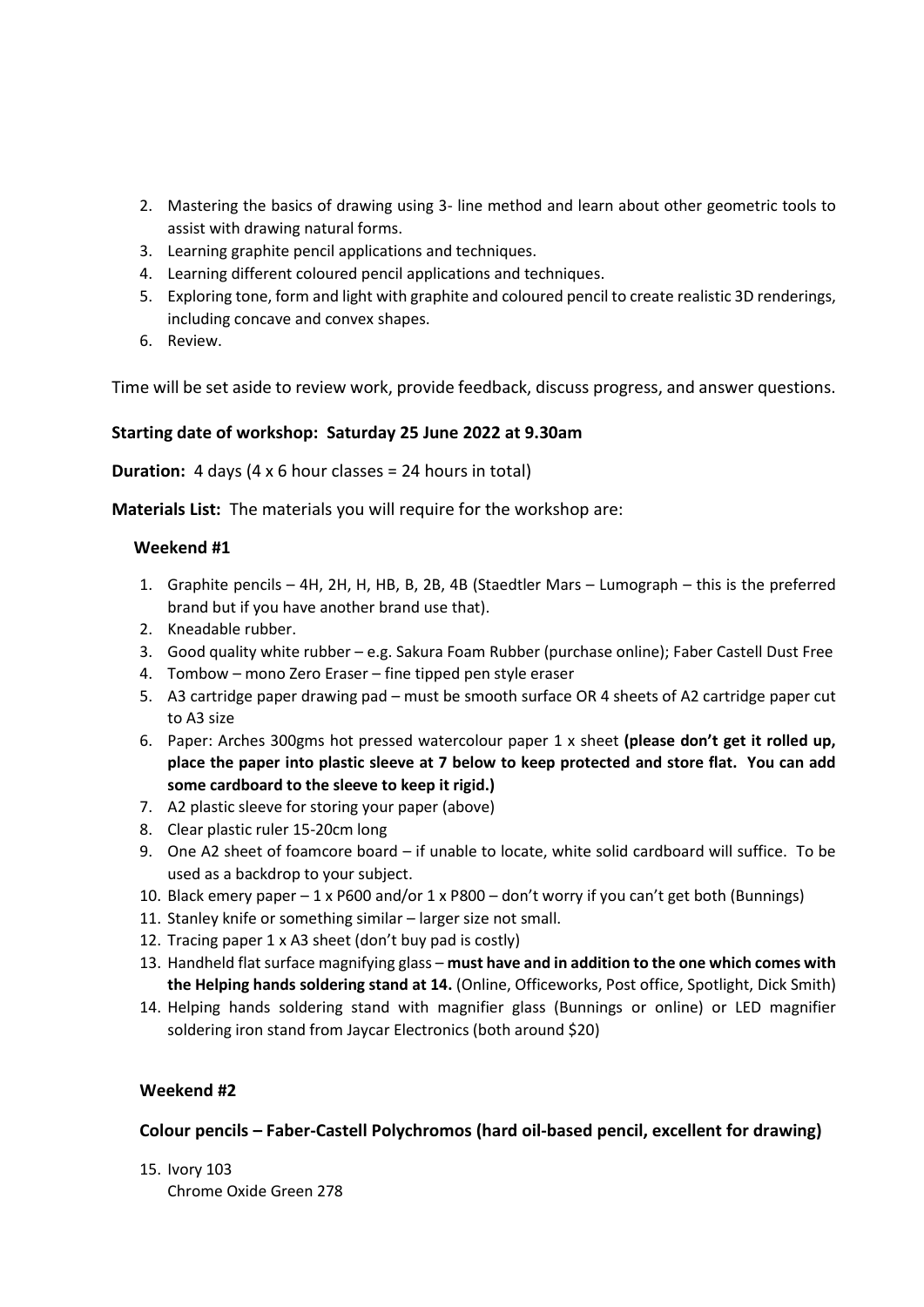- 2. Mastering the basics of drawing using 3- line method and learn about other geometric tools to assist with drawing natural forms.
- 3. Learning graphite pencil applications and techniques.
- 4. Learning different coloured pencil applications and techniques.
- 5. Exploring tone, form and light with graphite and coloured pencil to create realistic 3D renderings, including concave and convex shapes.
- 6. Review.

Time will be set aside to review work, provide feedback, discuss progress, and answer questions.

#### **Starting date of workshop: Saturday 25 June 2022 at 9.30am**

**Duration:** 4 days (4 x 6 hour classes = 24 hours in total)

**Materials List:** The materials you will require for the workshop are:

#### **Weekend #1**

- 1. Graphite pencils 4H, 2H, H, HB, B, 2B, 4B (Staedtler Mars Lumograph this is the preferred brand but if you have another brand use that).
- 2. Kneadable rubber.
- 3. Good quality white rubber e.g. Sakura Foam Rubber (purchase online); Faber Castell Dust Free
- 4. Tombow mono Zero Eraser fine tipped pen style eraser
- 5. A3 cartridge paper drawing pad must be smooth surface OR 4 sheets of A2 cartridge paper cut to A3 size
- 6. Paper: Arches 300gms hot pressed watercolour paper 1 x sheet **(please don't get it rolled up, place the paper into plastic sleeve at 7 below to keep protected and store flat. You can add some cardboard to the sleeve to keep it rigid.)**
- 7. A2 plastic sleeve for storing your paper (above)
- 8. Clear plastic ruler 15-20cm long
- 9. One A2 sheet of foamcore board if unable to locate, white solid cardboard will suffice. To be used as a backdrop to your subject.
- 10. Black emery paper 1 x P600 and/or 1 x P800 don't worry if you can't get both (Bunnings)
- 11. Stanley knife or something similar larger size not small.
- 12. Tracing paper 1 x A3 sheet (don't buy pad is costly)
- 13. Handheld flat surface magnifying glass **must have and in addition to the one which comes with the Helping hands soldering stand at 14.** (Online, Officeworks, Post office, Spotlight, Dick Smith)
- 14. Helping hands soldering stand with magnifier glass (Bunnings or online) or LED magnifier soldering iron stand from Jaycar Electronics (both around \$20)

#### **Weekend #2**

#### **Colour pencils – Faber-Castell Polychromos (hard oil-based pencil, excellent for drawing)**

15. Ivory 103 Chrome Oxide Green 278